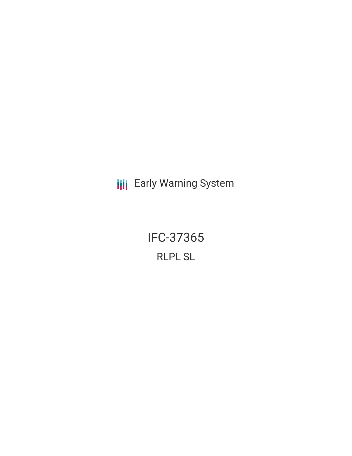**III** Early Warning System

IFC-37365 RLPL SL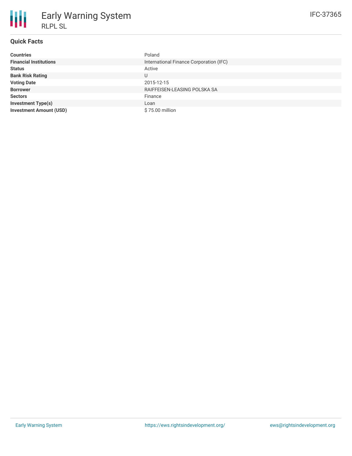| <b>Countries</b>               | Poland                                  |
|--------------------------------|-----------------------------------------|
| <b>Financial Institutions</b>  | International Finance Corporation (IFC) |
| <b>Status</b>                  | Active                                  |
| <b>Bank Risk Rating</b>        |                                         |
| <b>Voting Date</b>             | 2015-12-15                              |
| <b>Borrower</b>                | RAIFFEISEN-LEASING POLSKA SA            |
| <b>Sectors</b>                 | Finance                                 |
| <b>Investment Type(s)</b>      | Loan                                    |
| <b>Investment Amount (USD)</b> | \$75.00 million                         |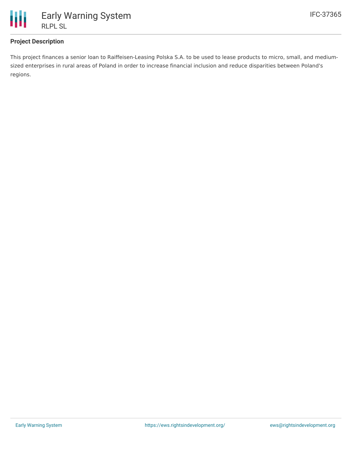

## **Project Description**

This project finances a senior loan to Raiffeisen-Leasing Polska S.A. to be used to lease products to micro, small, and mediumsized enterprises in rural areas of Poland in order to increase financial inclusion and reduce disparities between Poland's regions.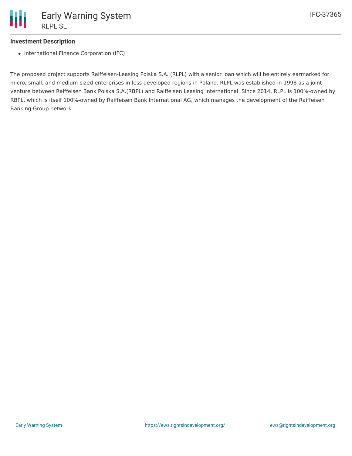

## **Investment Description**

• International Finance Corporation (IFC)

The proposed project supports Raiffeisen-Leasing Polska S.A. (RLPL) with a senior loan which will be entirely earmarked for micro, small, and medium-sized enterprises in less developed regions in Poland. RLPL was established in 1998 as a joint venture between Raiffeisen Bank Polska S.A.(RBPL) and Raiffeisen Leasing International. Since 2014, RLPL is 100%-owned by RBPL, which is itself 100%-owned by Raiffeisen Bank International AG, which manages the development of the Raiffeisen Banking Group network.